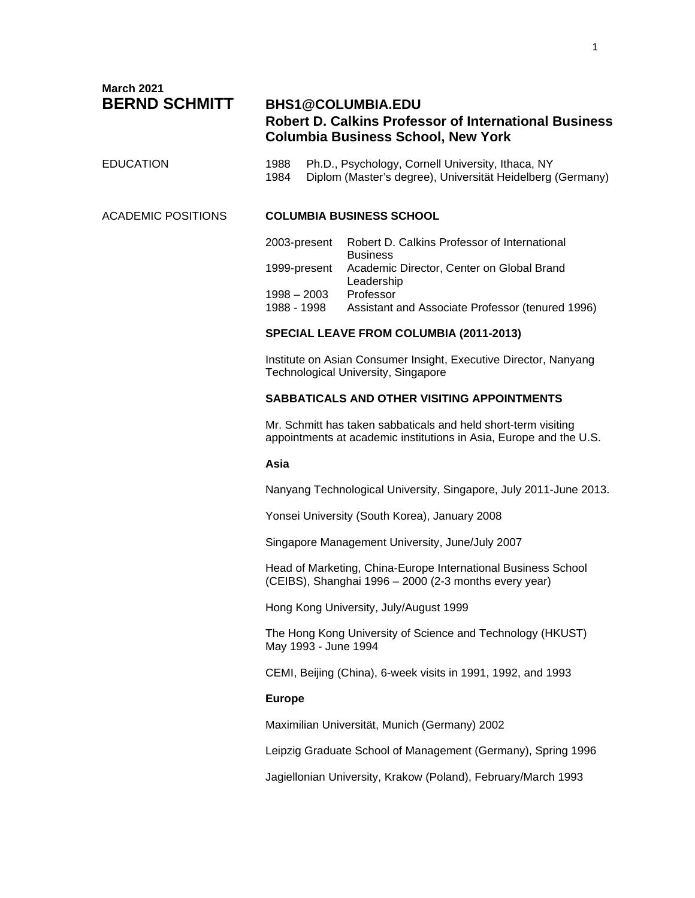**March 2021**

# **BERND SCHMITT BHS1@COLUMBIA.EDU Robert D. Calkins Professor of International Business Columbia Business School, New York**

# EDUCATION 1988 Ph.D., Psychology, Cornell University, Ithaca, NY 1984 Diplom (Master's degree), Universität Heidelberg (Germany)

### ACADEMIC POSITIONS **COLUMBIA BUSINESS SCHOOL**

| 2003-present                 | Robert D. Calkins Professor of International<br><b>Business</b>      |
|------------------------------|----------------------------------------------------------------------|
|                              | 1999-present Academic Director, Center on Global Brand<br>Leadership |
| $1998 - 2003$<br>1988 - 1998 | Professor<br>Assistant and Associate Professor (tenured 1996)        |

# **SPECIAL LEAVE FROM COLUMBIA (2011-2013)**

Institute on Asian Consumer Insight, Executive Director, Nanyang Technological University, Singapore

## **SABBATICALS AND OTHER VISITING APPOINTMENTS**

Mr. Schmitt has taken sabbaticals and held short-term visiting appointments at academic institutions in Asia, Europe and the U.S.

### **Asia**

Nanyang Technological University, Singapore, July 2011-June 2013.

Yonsei University (South Korea), January 2008

Singapore Management University, June/July 2007

Head of Marketing, China-Europe International Business School (CEIBS), Shanghai 1996 – 2000 (2-3 months every year)

Hong Kong University, July/August 1999

The Hong Kong University of Science and Technology (HKUST) May 1993 - June 1994

CEMI, Beijing (China), 6-week visits in 1991, 1992, and 1993

# **Europe**

Maximilian Universität, Munich (Germany) 2002

Leipzig Graduate School of Management (Germany), Spring 1996

Jagiellonian University, Krakow (Poland), February/March 1993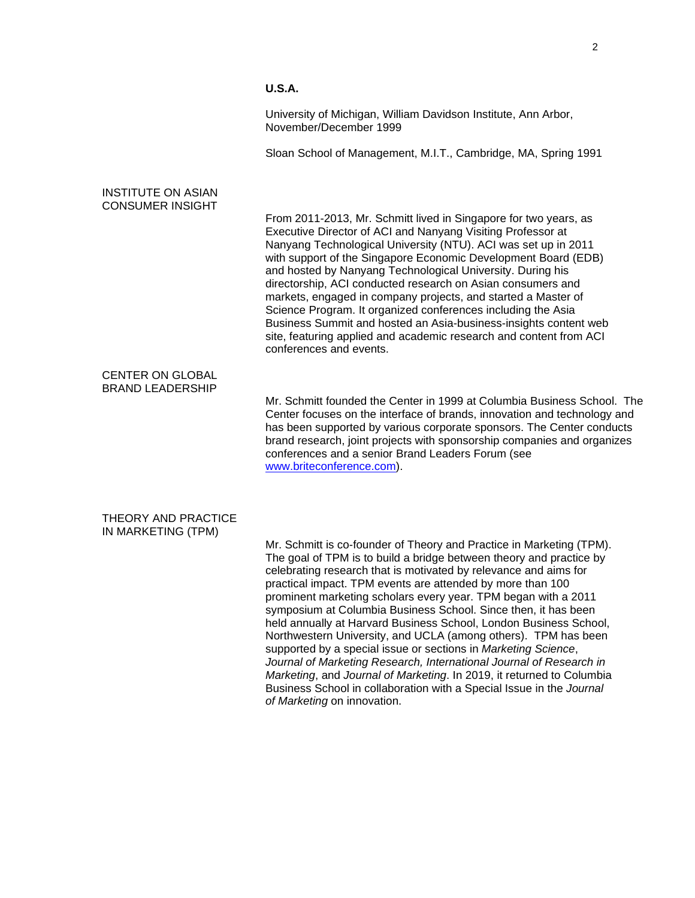# **U.S.A.**

University of Michigan, William Davidson Institute, Ann Arbor, November/December 1999

Sloan School of Management, M.I.T., Cambridge, MA, Spring 1991

# INSTITUTE ON ASIAN CONSUMER INSIGHT

From 2011-2013, Mr. Schmitt lived in Singapore for two years, as Executive Director of ACI and Nanyang Visiting Professor at Nanyang Technological University (NTU). ACI was set up in 2011 with support of the Singapore Economic Development Board (EDB) and hosted by Nanyang Technological University. During his directorship, ACI conducted research on Asian consumers and markets, engaged in company projects, and started a Master of Science Program. It organized conferences including the Asia Business Summit and hosted an Asia-business-insights content web site, featuring applied and academic research and content from ACI conferences and events.

### CENTER ON GLOBAL BRAND LEADERSHIP

Mr. Schmitt founded the Center in 1999 at Columbia Business School. The Center focuses on the interface of brands, innovation and technology and has been supported by various corporate sponsors. The Center conducts brand research, joint projects with sponsorship companies and organizes conferences and a senior Brand Leaders Forum (see [www.briteconference.com\)](http://www.briteconference.com/).

### THEORY AND PRACTICE IN MARKETING (TPM)

Mr. Schmitt is co-founder of Theory and Practice in Marketing (TPM). The goal of TPM is to build a bridge between theory and practice by celebrating research that is motivated by relevance and aims for practical impact. TPM events are attended by more than 100 prominent marketing scholars every year. TPM began with a 2011 symposium at Columbia Business School. Since then, it has been held annually at Harvard Business School, London Business School, Northwestern University, and UCLA (among others). TPM has been supported by a special issue or sections in *Marketing Science*, *Journal of Marketing Research, International Journal of Research in Marketing*, and *Journal of Marketing*. In 2019, it returned to Columbia Business School in collaboration with a Special Issue in the *Journal of Marketing* on innovation.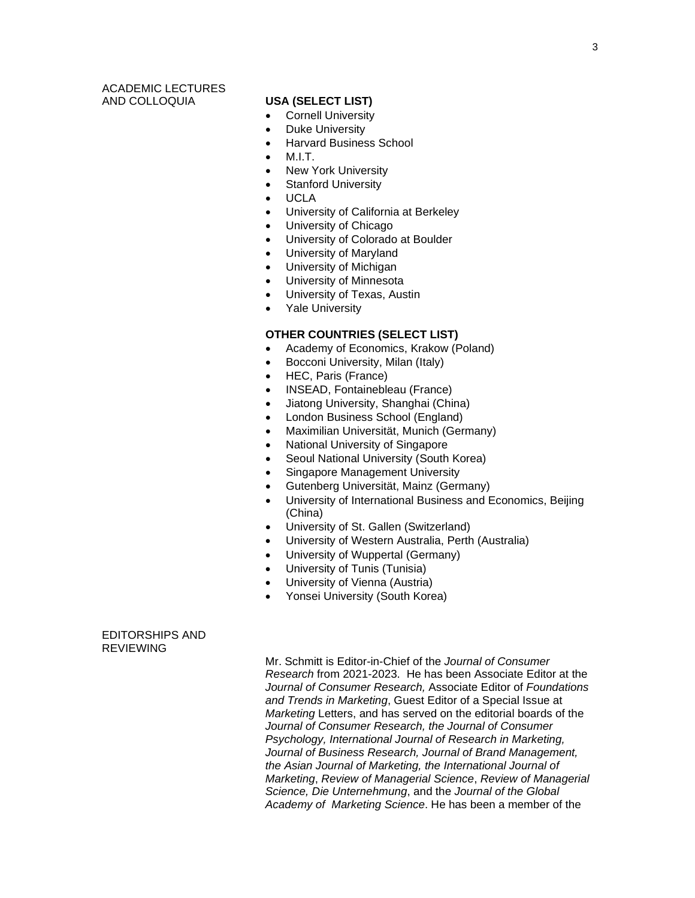# ACADEMIC LECTURES AND COLLOQUIA **USA (SELECT LIST)**

- Cornell University
- Duke University
- Harvard Business School
- M.I.T.
- New York University
- Stanford University
- UCLA
- University of California at Berkeley
- University of Chicago
- University of Colorado at Boulder
- University of Maryland
- University of Michigan
- University of Minnesota
- University of Texas, Austin
- Yale Universitv

# **OTHER COUNTRIES (SELECT LIST)**

- Academy of Economics, Krakow (Poland)
- Bocconi University, Milan (Italy)
- HEC, Paris (France)
- INSEAD, Fontainebleau (France)
- Jiatong University, Shanghai (China)
- London Business School (England)
- Maximilian Universität, Munich (Germany)
- National University of Singapore
- Seoul National University (South Korea)
- Singapore Management University
- Gutenberg Universität, Mainz (Germany)
- University of International Business and Economics, Beijing (China)
- University of St. Gallen (Switzerland)
- University of Western Australia, Perth (Australia)
- University of Wuppertal (Germany)
- University of Tunis (Tunisia)
- University of Vienna (Austria)
- Yonsei University (South Korea)

### EDITORSHIPS AND **REVIEWING**

Mr. Schmitt is Editor-in-Chief of the *Journal of Consumer Research* from 2021-2023. He has been Associate Editor at the *Journal of Consumer Research,* Associate Editor of *Foundations and Trends in Marketing*, Guest Editor of a Special Issue at *Marketing* Letters, and has served on the editorial boards of the *Journal of Consumer Research, the Journal of Consumer Psychology, International Journal of Research in Marketing, Journal of Business Research, Journal of Brand Management, the Asian Journal of Marketing, the International Journal of Marketing*, *Review of Managerial Science*, *Review of Managerial Science, Die Unternehmung*, and the *Journal of the Global Academy of Marketing Science*. He has been a member of the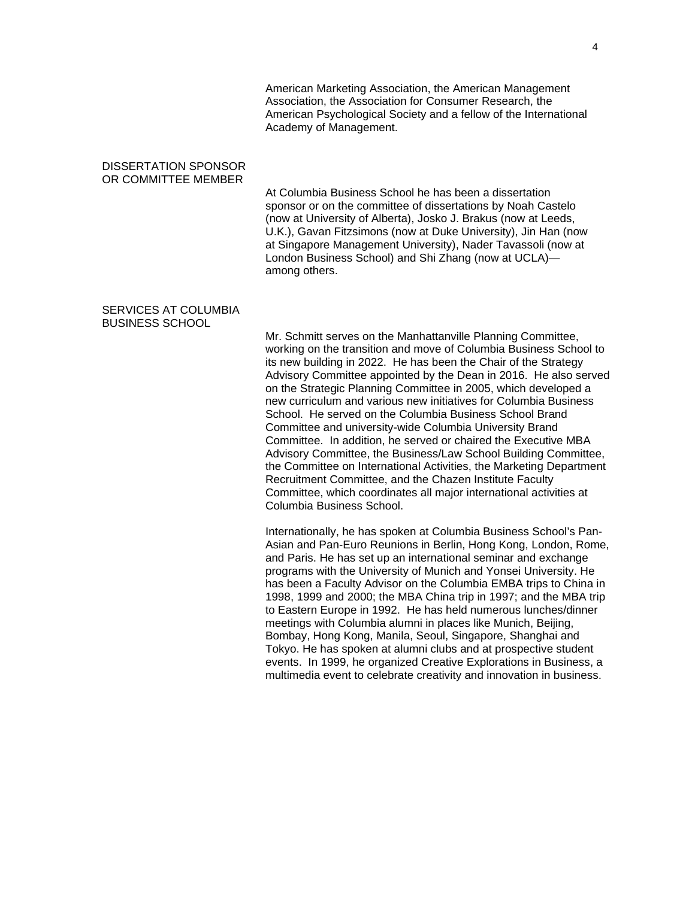American Marketing Association, the American Management Association, the Association for Consumer Research, the American Psychological Society and a fellow of the International Academy of Management.

### DISSERTATION SPONSOR OR COMMITTEE MEMBER

At Columbia Business School he has been a dissertation sponsor or on the committee of dissertations by Noah Castelo (now at University of Alberta), Josko J. Brakus (now at Leeds, U.K.), Gavan Fitzsimons (now at Duke University), Jin Han (now at Singapore Management University), Nader Tavassoli (now at London Business School) and Shi Zhang (now at UCLA) among others.

### SERVICES AT COLUMBIA BUSINESS SCHOOL

Mr. Schmitt serves on the Manhattanville Planning Committee, working on the transition and move of Columbia Business School to its new building in 2022. He has been the Chair of the Strategy Advisory Committee appointed by the Dean in 2016. He also served on the Strategic Planning Committee in 2005, which developed a new curriculum and various new initiatives for Columbia Business School. He served on the Columbia Business School Brand Committee and university-wide Columbia University Brand Committee. In addition, he served or chaired the Executive MBA Advisory Committee, the Business/Law School Building Committee, the Committee on International Activities, the Marketing Department Recruitment Committee, and the Chazen Institute Faculty Committee, which coordinates all major international activities at Columbia Business School.

Internationally, he has spoken at Columbia Business School's Pan-Asian and Pan-Euro Reunions in Berlin, Hong Kong, London, Rome, and Paris. He has set up an international seminar and exchange programs with the University of Munich and Yonsei University. He has been a Faculty Advisor on the Columbia EMBA trips to China in 1998, 1999 and 2000; the MBA China trip in 1997; and the MBA trip to Eastern Europe in 1992. He has held numerous lunches/dinner meetings with Columbia alumni in places like Munich, Beijing, Bombay, Hong Kong, Manila, Seoul, Singapore, Shanghai and Tokyo. He has spoken at alumni clubs and at prospective student events. In 1999, he organized Creative Explorations in Business, a multimedia event to celebrate creativity and innovation in business.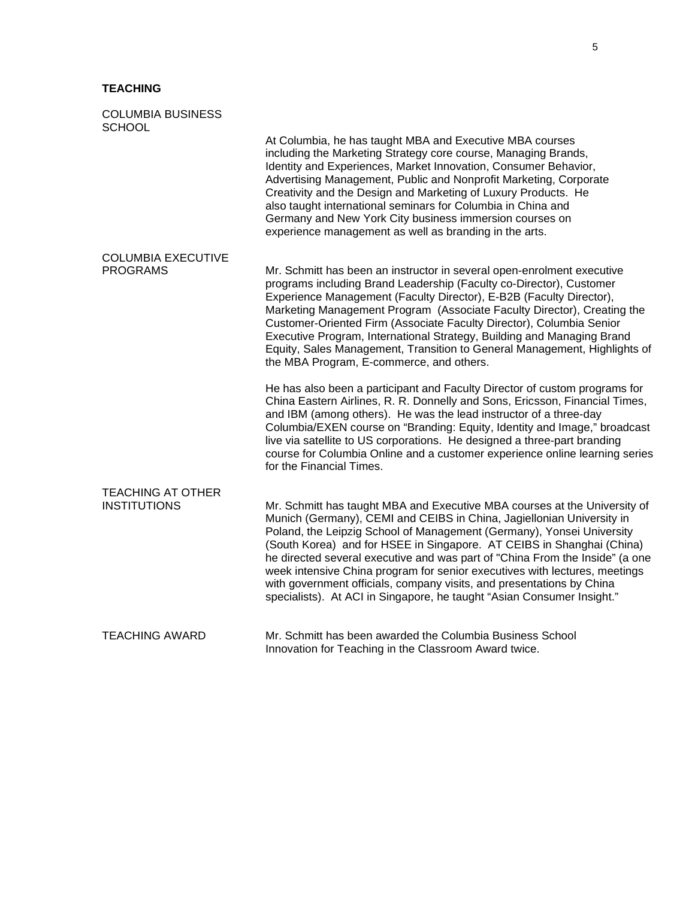# **TEACHING**

| <b>COLUMBIA BUSINESS</b><br><b>SCHOOL</b>       |                                                                                                                                                                                                                                                                                                                                                                                                                                                                                                                                                                                                                       |
|-------------------------------------------------|-----------------------------------------------------------------------------------------------------------------------------------------------------------------------------------------------------------------------------------------------------------------------------------------------------------------------------------------------------------------------------------------------------------------------------------------------------------------------------------------------------------------------------------------------------------------------------------------------------------------------|
|                                                 | At Columbia, he has taught MBA and Executive MBA courses<br>including the Marketing Strategy core course, Managing Brands,<br>Identity and Experiences, Market Innovation, Consumer Behavior,<br>Advertising Management, Public and Nonprofit Marketing, Corporate<br>Creativity and the Design and Marketing of Luxury Products. He<br>also taught international seminars for Columbia in China and<br>Germany and New York City business immersion courses on<br>experience management as well as branding in the arts.                                                                                             |
| <b>COLUMBIA EXECUTIVE</b><br><b>PROGRAMS</b>    | Mr. Schmitt has been an instructor in several open-enrolment executive<br>programs including Brand Leadership (Faculty co-Director), Customer<br>Experience Management (Faculty Director), E-B2B (Faculty Director),<br>Marketing Management Program (Associate Faculty Director), Creating the<br>Customer-Oriented Firm (Associate Faculty Director), Columbia Senior<br>Executive Program, International Strategy, Building and Managing Brand<br>Equity, Sales Management, Transition to General Management, Highlights of<br>the MBA Program, E-commerce, and others.                                            |
|                                                 | He has also been a participant and Faculty Director of custom programs for<br>China Eastern Airlines, R. R. Donnelly and Sons, Ericsson, Financial Times,<br>and IBM (among others). He was the lead instructor of a three-day<br>Columbia/EXEN course on "Branding: Equity, Identity and Image," broadcast<br>live via satellite to US corporations. He designed a three-part branding<br>course for Columbia Online and a customer experience online learning series<br>for the Financial Times.                                                                                                                    |
| <b>TEACHING AT OTHER</b><br><b>INSTITUTIONS</b> | Mr. Schmitt has taught MBA and Executive MBA courses at the University of<br>Munich (Germany), CEMI and CEIBS in China, Jagiellonian University in<br>Poland, the Leipzig School of Management (Germany), Yonsei University<br>(South Korea) and for HSEE in Singapore. AT CEIBS in Shanghai (China)<br>he directed several executive and was part of "China From the Inside" (a one<br>week intensive China program for senior executives with lectures, meetings<br>with government officials, company visits, and presentations by China<br>specialists). At ACI in Singapore, he taught "Asian Consumer Insight." |
| <b>TEACHING AWARD</b>                           | Mr. Schmitt has been awarded the Columbia Business School<br>Innovation for Teaching in the Classroom Award twice.                                                                                                                                                                                                                                                                                                                                                                                                                                                                                                    |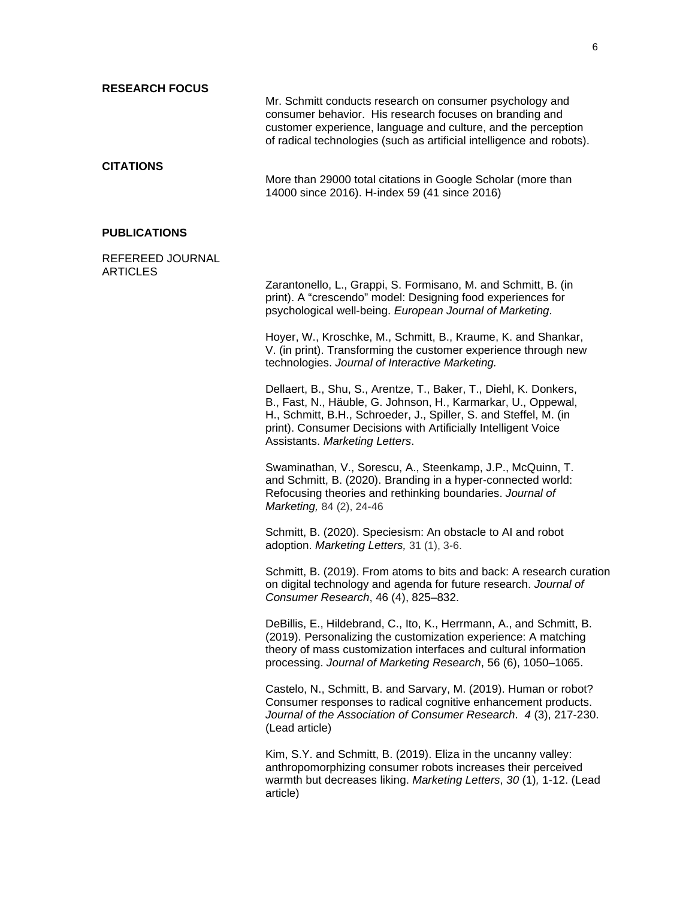| <b>RESEARCH FOCUS</b>               |                                                                                                                                                                                                                                                                                                             |
|-------------------------------------|-------------------------------------------------------------------------------------------------------------------------------------------------------------------------------------------------------------------------------------------------------------------------------------------------------------|
|                                     | Mr. Schmitt conducts research on consumer psychology and<br>consumer behavior. His research focuses on branding and<br>customer experience, language and culture, and the perception<br>of radical technologies (such as artificial intelligence and robots).                                               |
| <b>CITATIONS</b>                    | More than 29000 total citations in Google Scholar (more than<br>14000 since 2016). H-index 59 (41 since 2016)                                                                                                                                                                                               |
| <b>PUBLICATIONS</b>                 |                                                                                                                                                                                                                                                                                                             |
| REFEREED JOURNAL<br><b>ARTICLES</b> |                                                                                                                                                                                                                                                                                                             |
|                                     | Zarantonello, L., Grappi, S. Formisano, M. and Schmitt, B. (in<br>print). A "crescendo" model: Designing food experiences for<br>psychological well-being. European Journal of Marketing.                                                                                                                   |
|                                     | Hoyer, W., Kroschke, M., Schmitt, B., Kraume, K. and Shankar,<br>V. (in print). Transforming the customer experience through new<br>technologies. Journal of Interactive Marketing.                                                                                                                         |
|                                     | Dellaert, B., Shu, S., Arentze, T., Baker, T., Diehl, K. Donkers,<br>B., Fast, N., Häuble, G. Johnson, H., Karmarkar, U., Oppewal,<br>H., Schmitt, B.H., Schroeder, J., Spiller, S. and Steffel, M. (in<br>print). Consumer Decisions with Artificially Intelligent Voice<br>Assistants. Marketing Letters. |
|                                     | Swaminathan, V., Sorescu, A., Steenkamp, J.P., McQuinn, T.<br>and Schmitt, B. (2020). Branding in a hyper-connected world:<br>Refocusing theories and rethinking boundaries. Journal of<br>Marketing, 84 (2), 24-46                                                                                         |
|                                     | Schmitt, B. (2020). Speciesism: An obstacle to AI and robot<br>adoption. Marketing Letters, 31 (1), 3-6.                                                                                                                                                                                                    |
|                                     | Schmitt, B. (2019). From atoms to bits and back: A research curation<br>on digital technology and agenda for future research. Journal of<br>Consumer Research, 46 (4), 825-832.                                                                                                                             |
|                                     | DeBillis, E., Hildebrand, C., Ito, K., Herrmann, A., and Schmitt, B.<br>(2019). Personalizing the customization experience: A matching<br>theory of mass customization interfaces and cultural information<br>processing. Journal of Marketing Research, 56 (6), 1050-1065.                                 |
|                                     | Castelo, N., Schmitt, B. and Sarvary, M. (2019). Human or robot?<br>Consumer responses to radical cognitive enhancement products.<br>Journal of the Association of Consumer Research. 4(3), 217-230.<br>(Lead article)                                                                                      |
|                                     | Kim, S.Y. and Schmitt, B. (2019). Eliza in the uncanny valley:<br>anthropomorphizing consumer robots increases their perceived<br>warmth but decreases liking. Marketing Letters, 30(1), 1-12. (Lead<br>article)                                                                                            |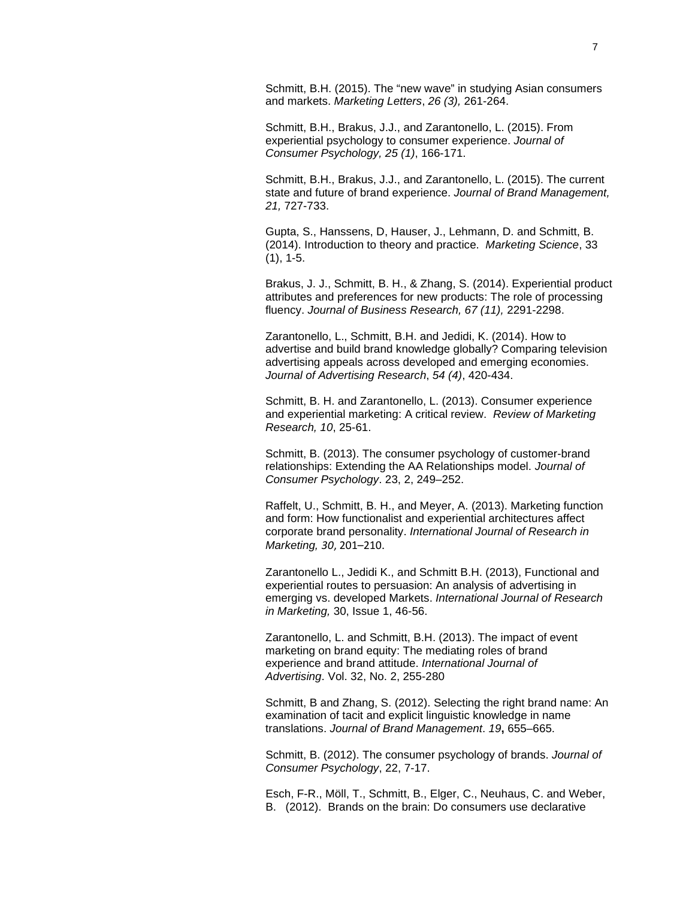Schmitt, B.H. (2015). The "new wave" in studying Asian consumers and markets. *Marketing Letters*, *26 (3),* 261-264.

Schmitt, B.H., Brakus, J.J., and Zarantonello, L. (2015). From experiential psychology to consumer experience. *Journal of Consumer Psychology, 25 (1)*, 166-171.

Schmitt, B.H., Brakus, J.J., and Zarantonello, L. (2015). The current state and future of brand experience. *Journal of Brand Management, 21,* 727-733.

Gupta, S., Hanssens, D, Hauser, J., Lehmann, D. and Schmitt, B. (2014). Introduction to theory and practice. *Marketing Science*, 33  $(1), 1-5.$ 

Brakus, J. J., Schmitt, B. H., & Zhang, S. (2014). Experiential product attributes and preferences for new products: The role of processing fluency. *Journal of Business Research, 67 (11),* 2291-2298.

Zarantonello, L., Schmitt, B.H. and Jedidi, K. (2014). How to advertise and build brand knowledge globally? Comparing television advertising appeals across developed and emerging economies. *Journal of Advertising Research*, *54 (4)*, 420-434.

Schmitt, B. H. and Zarantonello, L. (2013). Consumer experience and experiential marketing: A critical review. *Review of Marketing Research, 10*, 25-61.

Schmitt, B. (2013). The consumer psychology of customer-brand relationships: Extending the AA Relationships model. *Journal of Consumer Psychology*. 23, 2, 249–252.

Raffelt, U., Schmitt, B. H., and Meyer, A. (2013). Marketing function and form: How functionalist and experiential architectures affect corporate brand personality. *International Journal of Research in Marketing, 30*, 201–210.

Zarantonello L., Jedidi K., and Schmitt B.H. (2013), Functional and experiential routes to persuasion: An analysis of advertising in emerging vs. developed Markets. *International Journal of Research in Marketing,* 30, Issue 1, 46-56.

Zarantonello, L. and Schmitt, B.H. (2013). The impact of event marketing on brand equity: The mediating roles of brand experience and brand attitude. *International Journal of Advertising*. Vol. 32, No. 2, 255-280

Schmitt, B and Zhang, S. (2012). Selecting the right brand name: An examination of tacit and explicit linguistic knowledge in name translations. *Journal of Brand Management*. *19***,** 655–665.

Schmitt, B. (2012). The consumer psychology of brands. *Journal of Consumer Psychology*, 22, 7-17.

Esch, F-R., Möll, T., Schmitt, B., Elger, C., Neuhaus, C. and Weber, B. (2012). Brands on the brain: Do consumers use declarative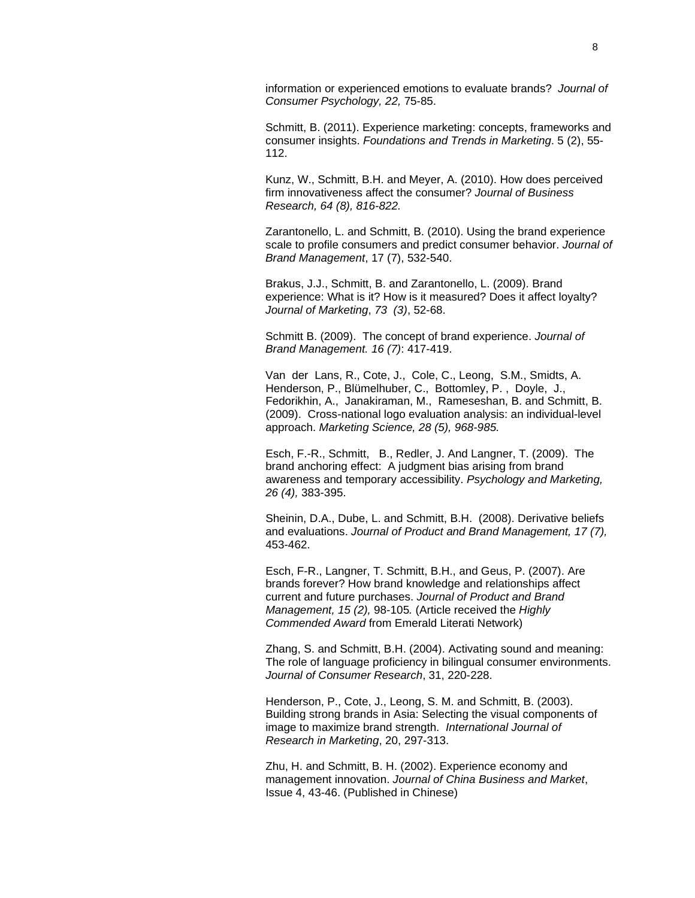information or experienced emotions to evaluate brands? *Journal of Consumer Psychology, 22,* 75-85.

Schmitt, B. (2011). Experience marketing: concepts, frameworks and consumer insights. *Foundations and Trends in Marketing*. 5 (2), 55- 112.

Kunz, W., Schmitt, B.H. and Meyer, A. (2010). How does perceived firm innovativeness affect the consumer? *Journal of Business Research, 64 (8), 816-822.*

Zarantonello, L. and Schmitt, B. (2010). Using the brand experience scale to profile consumers and predict consumer behavior. *Journal of Brand Management*, 17 (7), 532-540.

Brakus, J.J., Schmitt, B. and Zarantonello, L. (2009). Brand experience: What is it? How is it measured? Does it affect loyalty? *Journal of Marketing*, *73 (3)*, 52-68.

Schmitt B. (2009). The concept of brand experience. *Journal of Brand Management. 16 (7)*: 417-419.

Van der Lans, R., Cote, J., Cole, C., Leong, S.M., Smidts, A. Henderson, P., Blümelhuber, C., Bottomley, P. , Doyle, J., Fedorikhin, A., Janakiraman, M., Rameseshan, B. and Schmitt, B. (2009). Cross-national logo evaluation analysis: an individual-level approach. *Marketing Science, 28 (5), 968-985.*

Esch, F.-R., Schmitt, B., Redler, J. And Langner, T. (2009). The brand anchoring effect: A judgment bias arising from brand awareness and temporary accessibility. *Psychology and Marketing, 26 (4),* 383-395.

Sheinin, D.A., Dube, L. and Schmitt, B.H. (2008). Derivative beliefs and evaluations. *Journal of Product and Brand Management, 17 (7),* 453-462.

Esch, F-R., Langner, T. Schmitt, B.H., and Geus, P. (2007). Are brands forever? How brand knowledge and relationships affect current and future purchases. *Journal of Product and Brand Management, 15 (2),* 98-105*.* (Article received the *Highly Commended Award* from Emerald Literati Network)

Zhang, S. and Schmitt, B.H. (2004). Activating sound and meaning: The role of language proficiency in bilingual consumer environments. *Journal of Consumer Research*, 31, 220-228.

Henderson, P., Cote, J., Leong, S. M. and Schmitt, B. (2003). Building strong brands in Asia: Selecting the visual components of image to maximize brand strength. *International Journal of Research in Marketing*, 20, 297-313.

Zhu, H. and Schmitt, B. H. (2002). Experience economy and management innovation. *Journal of China Business and Market*, Issue 4, 43-46. (Published in Chinese)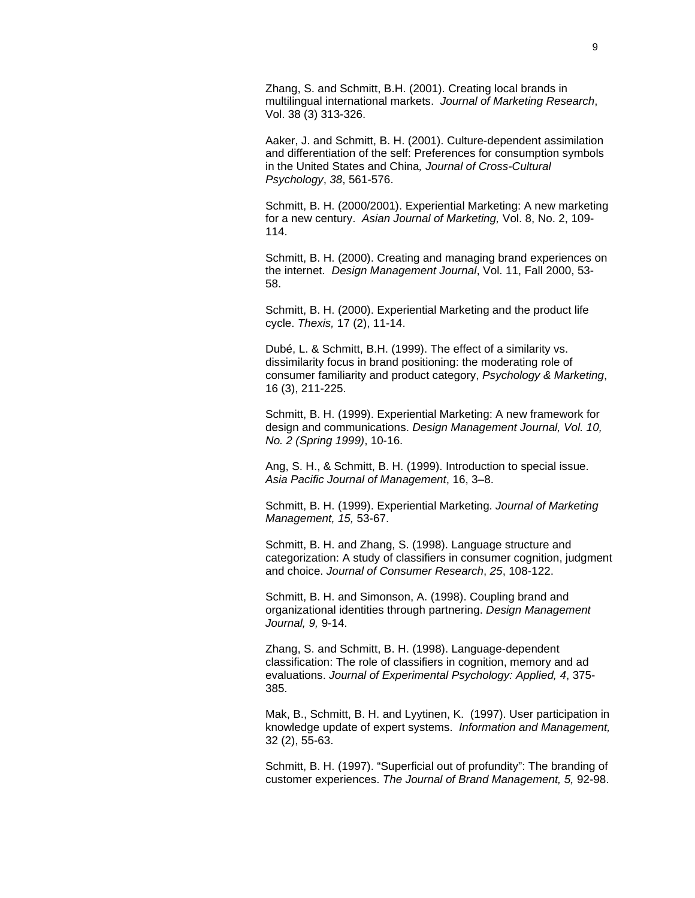Zhang, S. and Schmitt, B.H. (2001). Creating local brands in multilingual international markets. *Journal of Marketing Research*, Vol. 38 (3) 313-326.

Aaker, J. and Schmitt, B. H. (2001). Culture-dependent assimilation and differentiation of the self: Preferences for consumption symbols in the United States and China*, Journal of Cross-Cultural Psychology*, *38*, 561-576.

Schmitt, B. H. (2000/2001). Experiential Marketing: A new marketing for a new century. *Asian Journal of Marketing,* Vol. 8, No. 2, 109- 114.

Schmitt, B. H. (2000). Creating and managing brand experiences on the internet. *Design Management Journal*, Vol. 11, Fall 2000, 53- 58.

Schmitt, B. H. (2000). Experiential Marketing and the product life cycle. *Thexis,* 17 (2), 11-14.

Dubé, L. & Schmitt, B.H. (1999). The effect of a similarity vs. dissimilarity focus in brand positioning: the moderating role of consumer familiarity and product category, *Psychology & Marketing*, 16 (3), 211-225.

Schmitt, B. H. (1999). Experiential Marketing: A new framework for design and communications. *Design Management Journal, Vol. 10, No. 2 (Spring 1999)*, 10-16.

Ang, S. H., & Schmitt, B. H. (1999). Introduction to special issue. *Asia Pacific Journal of Management*, 16, 3–8.

Schmitt, B. H. (1999). Experiential Marketing. *Journal of Marketing Management, 15,* 53-67.

Schmitt, B. H. and Zhang, S. (1998). Language structure and categorization: A study of classifiers in consumer cognition, judgment and choice. *Journal of Consumer Research*, *25*, 108-122.

Schmitt, B. H. and Simonson, A. (1998). Coupling brand and organizational identities through partnering. *Design Management Journal, 9,* 9-14.

Zhang, S. and Schmitt, B. H. (1998). Language-dependent classification: The role of classifiers in cognition, memory and ad evaluations. *Journal of Experimental Psychology: Applied, 4*, 375- 385.

Mak, B., Schmitt, B. H. and Lyytinen, K. (1997). User participation in knowledge update of expert systems. *Information and Management,*  32 (2), 55-63.

Schmitt, B. H. (1997). "Superficial out of profundity": The branding of customer experiences. *The Journal of Brand Management, 5,* 92-98.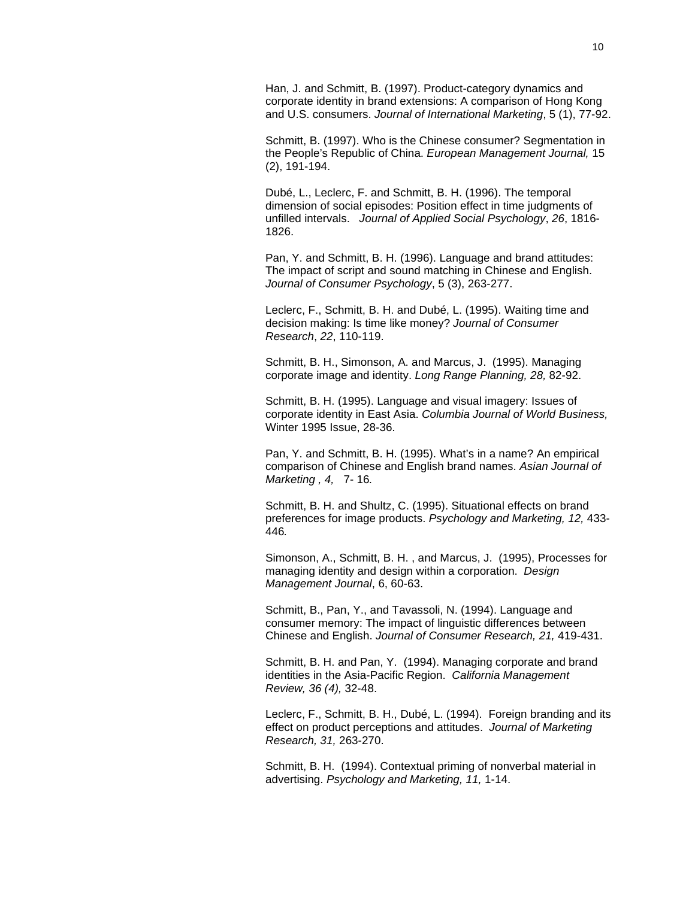Han, J. and Schmitt, B. (1997). Product-category dynamics and corporate identity in brand extensions: A comparison of Hong Kong and U.S. consumers. *Journal of International Marketing*, 5 (1), 77-92.

Schmitt, B. (1997). Who is the Chinese consumer? Segmentation in the People's Republic of China. *European Management Journal,* 15 (2), 191-194.

Dubé, L., Leclerc, F. and Schmitt, B. H. (1996). The temporal dimension of social episodes: Position effect in time judgments of unfilled intervals. *Journal of Applied Social Psychology*, *26*, 1816- 1826.

Pan, Y. and Schmitt, B. H. (1996). Language and brand attitudes: The impact of script and sound matching in Chinese and English. *Journal of Consumer Psychology*, 5 (3), 263-277.

Leclerc, F., Schmitt, B. H. and Dubé, L. (1995). Waiting time and decision making: Is time like money? *Journal of Consumer Research*, *22*, 110-119.

Schmitt, B. H., Simonson, A. and Marcus, J. (1995). Managing corporate image and identity. *Long Range Planning, 28,* 82-92.

Schmitt, B. H. (1995). Language and visual imagery: Issues of corporate identity in East Asia. *Columbia Journal of World Business,*  Winter 1995 Issue, 28-36.

Pan, Y. and Schmitt, B. H. (1995). What's in a name? An empirical comparison of Chinese and English brand names. *Asian Journal of Marketing , 4,* 7- 16*.*

Schmitt, B. H. and Shultz, C. (1995). Situational effects on brand preferences for image products. *Psychology and Marketing, 12,* 433- 446*.*

Simonson, A., Schmitt, B. H. , and Marcus, J. (1995), Processes for managing identity and design within a corporation. *Design Management Journal*, 6, 60-63.

Schmitt, B., Pan, Y., and Tavassoli, N. (1994). Language and consumer memory: The impact of linguistic differences between Chinese and English. *Journal of Consumer Research, 21,* 419-431.

Schmitt, B. H. and Pan, Y. (1994). Managing corporate and brand identities in the Asia-Pacific Region. *California Management Review, 36 (4),* 32-48.

Leclerc, F., Schmitt, B. H., Dubé, L. (1994). Foreign branding and its effect on product perceptions and attitudes. *Journal of Marketing Research, 31,* 263-270.

Schmitt, B. H. (1994). Contextual priming of nonverbal material in advertising. *Psychology and Marketing, 11,* 1-14.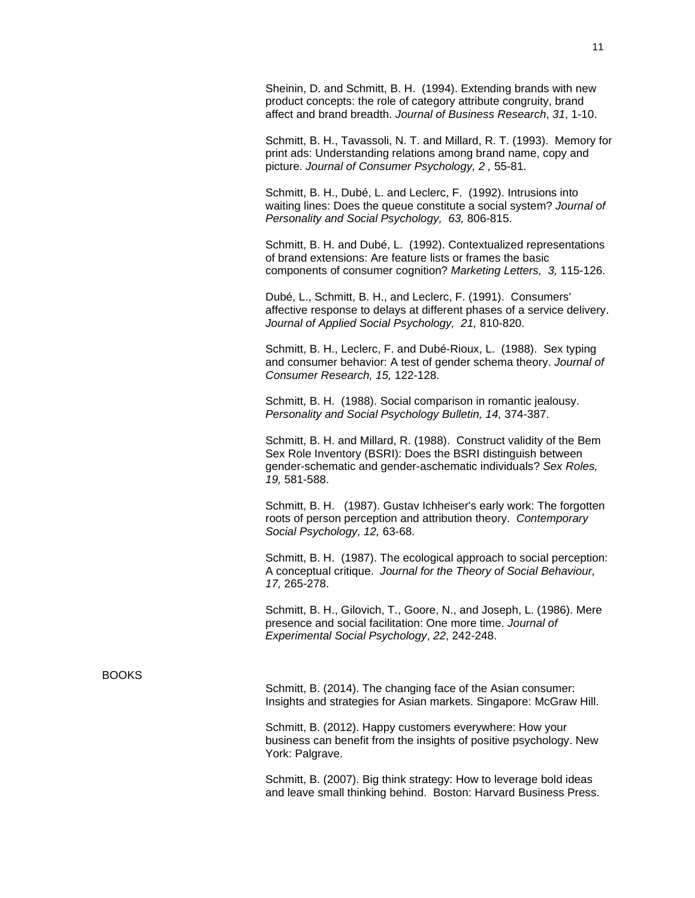Sheinin, D. and Schmitt, B. H. (1994). Extending brands with new product concepts: the role of category attribute congruity, brand affect and brand breadth. *Journal of Business Research*, *31*, 1-10.

Schmitt, B. H., Tavassoli, N. T. and Millard, R. T. (1993). Memory for print ads: Understanding relations among brand name, copy and picture. *Journal of Consumer Psychology, 2 ,* 55-81.

Schmitt, B. H., Dubé, L. and Leclerc, F. (1992). Intrusions into waiting lines: Does the queue constitute a social system? *Journal of Personality and Social Psychology, 63,* 806-815.

Schmitt, B. H. and Dubé, L. (1992). Contextualized representations of brand extensions: Are feature lists or frames the basic components of consumer cognition? *Marketing Letters, 3,* 115-126.

Dubé, L., Schmitt, B. H., and Leclerc, F. (1991). Consumers' affective response to delays at different phases of a service delivery. *Journal of Applied Social Psychology, 21,* 810-820.

Schmitt, B. H., Leclerc, F. and Dubé-Rioux, L. (1988). Sex typing and consumer behavior: A test of gender schema theory. *Journal of Consumer Research, 15,* 122-128.

Schmitt, B. H. (1988). Social comparison in romantic jealousy. *Personality and Social Psychology Bulletin, 14,* 374-387.

Schmitt, B. H. and Millard, R. (1988). Construct validity of the Bem Sex Role Inventory (BSRI): Does the BSRI distinguish between gender-schematic and gender-aschematic individuals? *Sex Roles, 19,* 581-588.

Schmitt, B. H. (1987). Gustav Ichheiser's early work: The forgotten roots of person perception and attribution theory. *Contemporary Social Psychology, 12,* 63-68.

Schmitt, B. H. (1987). The ecological approach to social perception: A conceptual critique. *Journal for the Theory of Social Behaviour, 17,* 265-278.

Schmitt, B. H., Gilovich, T., Goore, N., and Joseph, L. (1986). Mere presence and social facilitation: One more time. *Journal of Experimental Social Psychology*, *22*, 242-248.

### BOOKS

Schmitt, B. (2014). The changing face of the Asian consumer: Insights and strategies for Asian markets. Singapore: McGraw Hill.

Schmitt, B. (2012). Happy customers everywhere: How your business can benefit from the insights of positive psychology. New York: Palgrave.

Schmitt, B. (2007). Big think strategy: How to leverage bold ideas and leave small thinking behind. Boston: Harvard Business Press.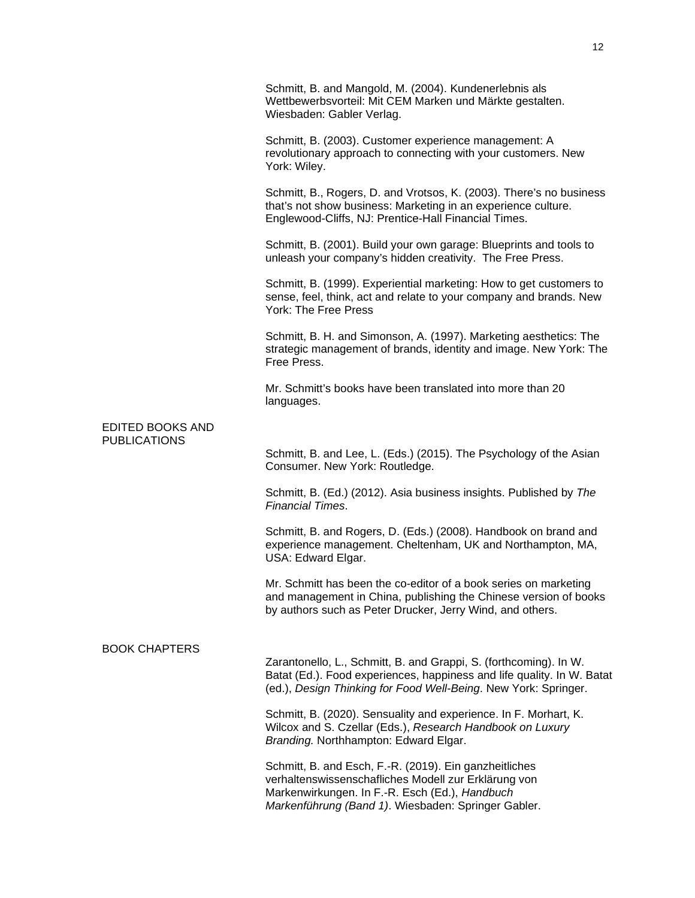|                                         | Schmitt, B. and Mangold, M. (2004). Kundenerlebnis als<br>Wettbewerbsvorteil: Mit CEM Marken und Märkte gestalten.<br>Wiesbaden: Gabler Verlag.                                                                         |
|-----------------------------------------|-------------------------------------------------------------------------------------------------------------------------------------------------------------------------------------------------------------------------|
|                                         | Schmitt, B. (2003). Customer experience management: A<br>revolutionary approach to connecting with your customers. New<br>York: Wiley.                                                                                  |
|                                         | Schmitt, B., Rogers, D. and Vrotsos, K. (2003). There's no business<br>that's not show business: Marketing in an experience culture.<br>Englewood-Cliffs, NJ: Prentice-Hall Financial Times.                            |
|                                         | Schmitt, B. (2001). Build your own garage: Blueprints and tools to<br>unleash your company's hidden creativity. The Free Press.                                                                                         |
|                                         | Schmitt, B. (1999). Experiential marketing: How to get customers to<br>sense, feel, think, act and relate to your company and brands. New<br>York: The Free Press                                                       |
|                                         | Schmitt, B. H. and Simonson, A. (1997). Marketing aesthetics: The<br>strategic management of brands, identity and image. New York: The<br>Free Press.                                                                   |
|                                         | Mr. Schmitt's books have been translated into more than 20<br>languages.                                                                                                                                                |
| EDITED BOOKS AND<br><b>PUBLICATIONS</b> |                                                                                                                                                                                                                         |
|                                         | Schmitt, B. and Lee, L. (Eds.) (2015). The Psychology of the Asian<br>Consumer. New York: Routledge.                                                                                                                    |
|                                         | Schmitt, B. (Ed.) (2012). Asia business insights. Published by The<br><b>Financial Times.</b>                                                                                                                           |
|                                         | Schmitt, B. and Rogers, D. (Eds.) (2008). Handbook on brand and<br>experience management. Cheltenham, UK and Northampton, MA,<br>USA: Edward Elgar.                                                                     |
|                                         | Mr. Schmitt has been the co-editor of a book series on marketing<br>and management in China, publishing the Chinese version of books<br>by authors such as Peter Drucker, Jerry Wind, and others.                       |
| <b>BOOK CHAPTERS</b>                    |                                                                                                                                                                                                                         |
|                                         | Zarantonello, L., Schmitt, B. and Grappi, S. (forthcoming). In W.<br>Batat (Ed.). Food experiences, happiness and life quality. In W. Batat<br>(ed.), Design Thinking for Food Well-Being. New York: Springer.          |
|                                         | Schmitt, B. (2020). Sensuality and experience. In F. Morhart, K.<br>Wilcox and S. Czellar (Eds.), Research Handbook on Luxury<br>Branding. Northhampton: Edward Elgar.                                                  |
|                                         | Schmitt, B. and Esch, F.-R. (2019). Ein ganzheitliches<br>verhaltenswissenschafliches Modell zur Erklärung von<br>Markenwirkungen. In F.-R. Esch (Ed.), Handbuch<br>Markenführung (Band 1). Wiesbaden: Springer Gabler. |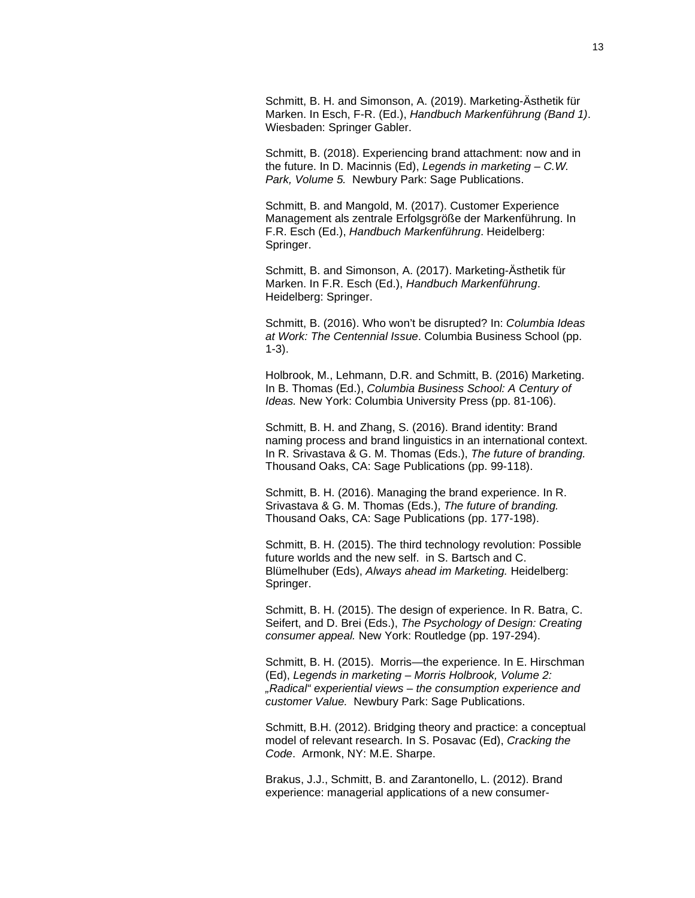Schmitt, B. H. and Simonson, A. (2019). Marketing-Ästhetik für Marken. In Esch, F-R. (Ed.), *Handbuch Markenführung (Band 1)*. Wiesbaden: Springer Gabler.

Schmitt, B. (2018). Experiencing brand attachment: now and in the future. In D. Macinnis (Ed), *Legends in marketing – C.W. Park, Volume 5.* Newbury Park: Sage Publications.

Schmitt, B. and Mangold, M. (2017). Customer Experience Management als zentrale Erfolgsgröße der Markenführung. In F.R. Esch (Ed.), *Handbuch Markenführung*. Heidelberg: Springer.

Schmitt, B. and Simonson, A. (2017). Marketing-Ästhetik für Marken. In F.R. Esch (Ed.), *Handbuch Markenführung*. Heidelberg: Springer.

Schmitt, B. (2016). Who won't be disrupted? In: *Columbia Ideas at Work: The Centennial Issue*. Columbia Business School (pp. 1-3).

Holbrook, M., Lehmann, D.R. and Schmitt, B. (2016) Marketing. In B. Thomas (Ed.), *Columbia Business School: A Century of Ideas.* New York: Columbia University Press (pp. 81-106).

Schmitt, B. H. and Zhang, S. (2016). Brand identity: Brand naming process and brand linguistics in an international context. In R. Srivastava & G. M. Thomas (Eds.), *The future of branding.* Thousand Oaks, CA: Sage Publications (pp. 99-118).

Schmitt, B. H. (2016). Managing the brand experience. In R. Srivastava & G. M. Thomas (Eds.), *The future of branding.* Thousand Oaks, CA: Sage Publications (pp. 177-198).

Schmitt, B. H. (2015). The third technology revolution: Possible future worlds and the new self. in S. Bartsch and C. Blümelhuber (Eds), *Always ahead im Marketing.* Heidelberg: Springer.

Schmitt, B. H. (2015). The design of experience. In R. Batra, C. Seifert, and D. Brei (Eds.), *The Psychology of Design: Creating consumer appeal.* New York: Routledge (pp. 197-294).

Schmitt, B. H. (2015). Morris—the experience. In E. Hirschman (Ed), *Legends in marketing – Morris Holbrook, Volume 2: "Radical" experiential views – the consumption experience and customer Value.* Newbury Park: Sage Publications.

Schmitt, B.H. (2012). Bridging theory and practice: a conceptual model of relevant research. In S. Posavac (Ed), *Cracking the Code*. Armonk, NY: M.E. Sharpe.

Brakus, J.J., Schmitt, B. and Zarantonello, L. (2012). Brand experience: managerial applications of a new consumer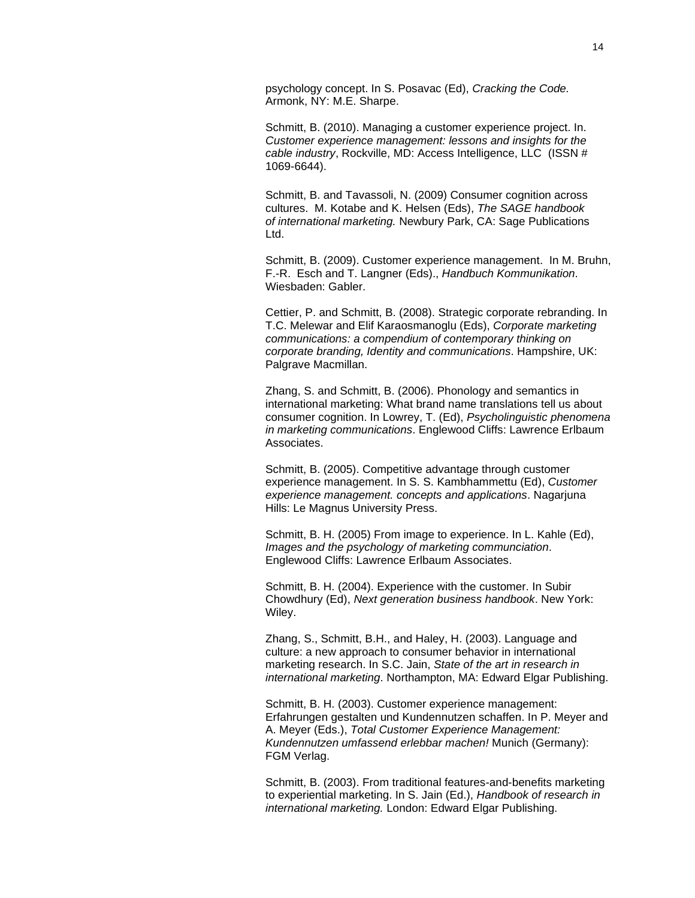psychology concept. In S. Posavac (Ed), *Cracking the Code.* Armonk, NY: M.E. Sharpe.

Schmitt, B. (2010). Managing a customer experience project. In. *Customer experience management: lessons and insights for the cable industry*, Rockville, MD: Access Intelligence, LLC (ISSN # 1069-6644).

Schmitt, B. and Tavassoli, N. (2009) Consumer cognition across cultures. M. Kotabe and K. Helsen (Eds), *The SAGE handbook of international marketing.* Newbury Park, CA: Sage Publications Ltd.

Schmitt, B. (2009). Customer experience management. In M. Bruhn, F.-R. Esch and T. Langner (Eds)., *Handbuch Kommunikation*. Wiesbaden: Gabler.

Cettier, P. and Schmitt, B. (2008). Strategic corporate rebranding. In T.C. Melewar and Elif Karaosmanoglu (Eds), *Corporate marketing communications: a compendium of contemporary thinking on corporate branding, Identity and communications*. Hampshire, UK: Palgrave Macmillan.

Zhang, S. and Schmitt, B. (2006). Phonology and semantics in international marketing: What brand name translations tell us about consumer cognition. In Lowrey, T. (Ed), *Psycholinguistic phenomena in marketing communications*. Englewood Cliffs: Lawrence Erlbaum Associates.

Schmitt, B. (2005). Competitive advantage through customer experience management. In S. S. Kambhammettu (Ed), *Customer experience management. concepts and applications*. Nagarjuna Hills: Le Magnus University Press.

Schmitt, B. H. (2005) From image to experience. In L. Kahle (Ed), *Images and the psychology of marketing communciation*. Englewood Cliffs: Lawrence Erlbaum Associates.

Schmitt, B. H. (2004). Experience with the customer. In Subir Chowdhury (Ed), *Next generation business handbook*. New York: Wiley.

Zhang, S., Schmitt, B.H., and Haley, H. (2003). Language and culture: a new approach to consumer behavior in international marketing research. In S.C. Jain, *State of the art in research in international marketing*. Northampton, MA: Edward Elgar Publishing.

Schmitt, B. H. (2003). Customer experience management: Erfahrungen gestalten und Kundennutzen schaffen. In P. Meyer and A. Meyer (Eds.), *Total Customer Experience Management: Kundennutzen umfassend erlebbar machen!* Munich (Germany): FGM Verlag.

Schmitt, B. (2003). From traditional features-and-benefits marketing to experiential marketing. In S. Jain (Ed.), *Handbook of research in international marketing.* London: Edward Elgar Publishing.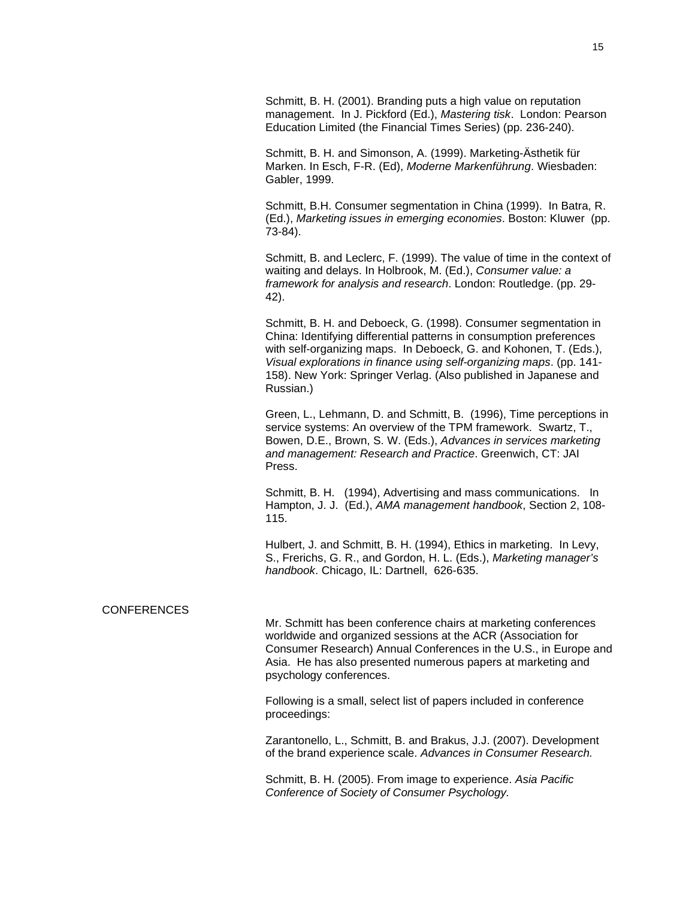Schmitt, B. H. (2001). Branding puts a high value on reputation management. In J. Pickford (Ed.), *Mastering tisk*. London: Pearson Education Limited (the Financial Times Series) (pp. 236-240).

Schmitt, B. H. and Simonson, A. (1999). Marketing-Ästhetik für Marken. In Esch, F-R. (Ed), *Moderne Markenführung*. Wiesbaden: Gabler, 1999.

Schmitt, B.H. Consumer segmentation in China (1999). In Batra, R. (Ed.), *Marketing issues in emerging economies*. Boston: Kluwer (pp. 73-84).

Schmitt, B. and Leclerc, F. (1999). The value of time in the context of waiting and delays. In Holbrook, M. (Ed.), *Consumer value: a framework for analysis and research*. London: Routledge. (pp. 29- 42).

Schmitt, B. H. and Deboeck, G. (1998). Consumer segmentation in China: Identifying differential patterns in consumption preferences with self-organizing maps. In Deboeck, G. and Kohonen, T. (Eds.), *Visual explorations in finance using self-organizing maps*. (pp. 141- 158). New York: Springer Verlag. (Also published in Japanese and Russian.)

Green, L., Lehmann, D. and Schmitt, B. (1996), Time perceptions in service systems: An overview of the TPM framework. Swartz, T., Bowen, D.E., Brown, S. W. (Eds.), *Advances in services marketing and management: Research and Practice*. Greenwich, CT: JAI Press.

Schmitt, B. H. (1994), Advertising and mass communications. In Hampton, J. J. (Ed.), *AMA management handbook*, Section 2, 108- 115.

Hulbert, J. and Schmitt, B. H. (1994), Ethics in marketing. In Levy, S., Frerichs, G. R., and Gordon, H. L. (Eds.), *Marketing manager's handbook*. Chicago, IL: Dartnell, 626-635.

### **CONFERENCES**

Mr. Schmitt has been conference chairs at marketing conferences worldwide and organized sessions at the ACR (Association for Consumer Research) Annual Conferences in the U.S., in Europe and Asia. He has also presented numerous papers at marketing and psychology conferences.

Following is a small, select list of papers included in conference proceedings:

Zarantonello, L., Schmitt, B. and Brakus, J.J. (2007). Development of the brand experience scale. *Advances in Consumer Research.*

Schmitt, B. H. (2005). From image to experience. *Asia Pacific Conference of Society of Consumer Psychology.*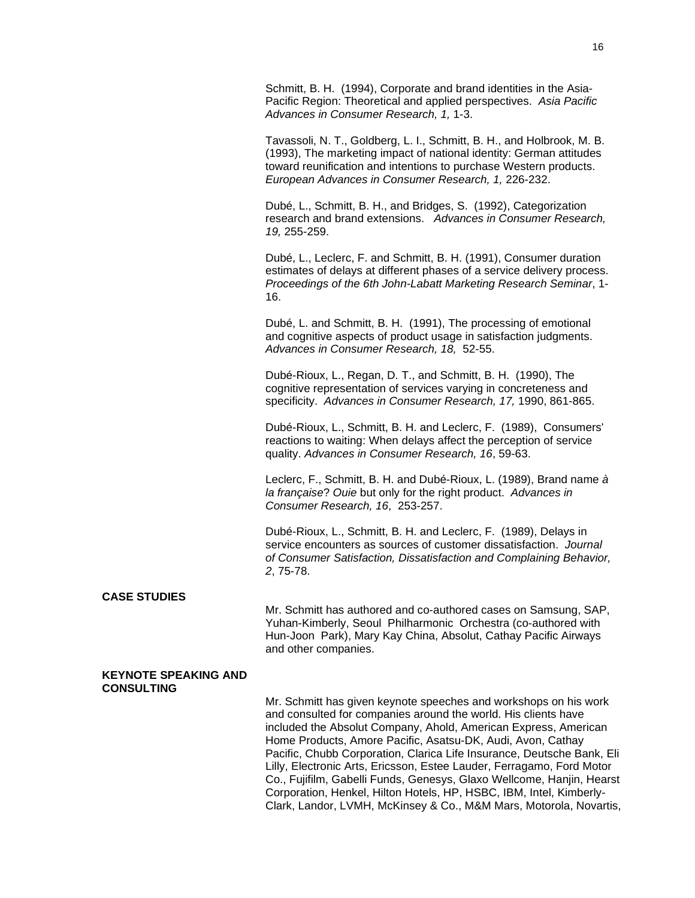Schmitt, B. H. (1994), Corporate and brand identities in the Asia-Pacific Region: Theoretical and applied perspectives. *Asia Pacific Advances in Consumer Research, 1,* 1-3.

Tavassoli, N. T., Goldberg, L. I., Schmitt, B. H., and Holbrook, M. B. (1993), The marketing impact of national identity: German attitudes toward reunification and intentions to purchase Western products. *European Advances in Consumer Research, 1,* 226-232.

Dubé, L., Schmitt, B. H., and Bridges, S. (1992), Categorization research and brand extensions. *Advances in Consumer Research, 19,* 255-259.

Dubé, L., Leclerc, F. and Schmitt, B. H. (1991), Consumer duration estimates of delays at different phases of a service delivery process. *Proceedings of the 6th John-Labatt Marketing Research Seminar*, 1- 16.

Dubé, L. and Schmitt, B. H. (1991), The processing of emotional and cognitive aspects of product usage in satisfaction judgments. *Advances in Consumer Research, 18,* 52-55.

Dubé-Rioux, L., Regan, D. T., and Schmitt, B. H. (1990), The cognitive representation of services varying in concreteness and specificity. *Advances in Consumer Research, 17,* 1990, 861-865.

Dubé-Rioux, L., Schmitt, B. H. and Leclerc, F. (1989), Consumers' reactions to waiting: When delays affect the perception of service quality. *Advances in Consumer Research, 16*, 59-63.

Leclerc, F., Schmitt, B. H. and Dubé-Rioux, L. (1989), Brand name *à la française*? *Ouie* but only for the right product. *Advances in Consumer Research, 16*, 253-257.

Dubé-Rioux, L., Schmitt, B. H. and Leclerc, F. (1989), Delays in service encounters as sources of customer dissatisfaction. *Journal of Consumer Satisfaction, Dissatisfaction and Complaining Behavior, 2*, 75-78.

# **CASE STUDIES**

Mr. Schmitt has authored and co-authored cases on Samsung, SAP, Yuhan-Kimberly, Seoul Philharmonic Orchestra (co-authored with Hun-Joon Park), Mary Kay China, Absolut, Cathay Pacific Airways and other companies.

### **KEYNOTE SPEAKING AND CONSULTING**

Mr. Schmitt has given keynote speeches and workshops on his work and consulted for companies around the world. His clients have included the Absolut Company, Ahold, American Express, American Home Products, Amore Pacific, Asatsu-DK, Audi, Avon, Cathay Pacific, Chubb Corporation, Clarica Life Insurance, Deutsche Bank, Eli Lilly, Electronic Arts, Ericsson, Estee Lauder, Ferragamo, Ford Motor Co., Fujifilm, Gabelli Funds, Genesys, Glaxo Wellcome, Hanjin, Hearst Corporation, Henkel, Hilton Hotels, HP, HSBC, IBM, Intel, Kimberly-Clark, Landor, LVMH, McKinsey & Co., M&M Mars, Motorola, Novartis,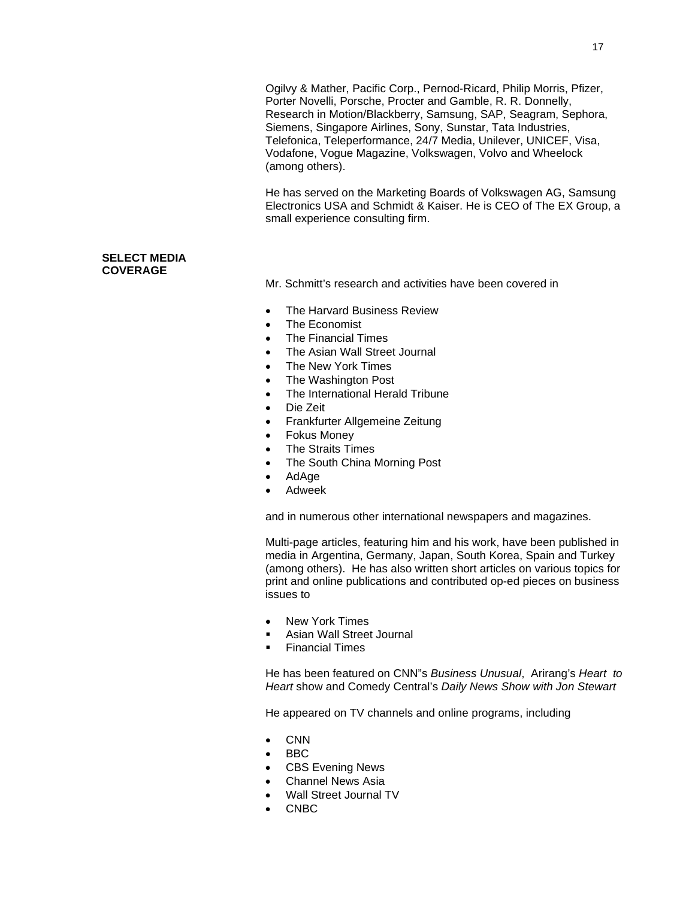Ogilvy & Mather, Pacific Corp., Pernod-Ricard, Philip Morris, Pfizer, Porter Novelli, Porsche, Procter and Gamble, R. R. Donnelly, Research in Motion/Blackberry, Samsung, SAP, Seagram, Sephora, Siemens, Singapore Airlines, Sony, Sunstar, Tata Industries, Telefonica, Teleperformance, 24/7 Media, Unilever, UNICEF, Visa, Vodafone, Vogue Magazine, Volkswagen, Volvo and Wheelock (among others).

He has served on the Marketing Boards of Volkswagen AG, Samsung Electronics USA and Schmidt & Kaiser. He is CEO of The EX Group, a small experience consulting firm.

# **SELECT MEDIA COVERAGE**

Mr. Schmitt's research and activities have been covered in

- The Harvard Business Review
- The Economist
- The Financial Times
- The Asian Wall Street Journal
- The New York Times
- The Washington Post
- The International Herald Tribune
- Die Zeit
- Frankfurter Allgemeine Zeitung
- Fokus Money
- **The Straits Times**
- The South China Morning Post
- AdAge
- Adweek

and in numerous other international newspapers and magazines.

Multi-page articles, featuring him and his work, have been published in media in Argentina, Germany, Japan, South Korea, Spain and Turkey (among others). He has also written short articles on various topics for print and online publications and contributed op-ed pieces on business issues to

- New York Times
- Asian Wall Street Journal
- Financial Times

He has been featured on CNN"s *Business Unusual*, Arirang's *Heart to Heart* show and Comedy Central's *Daily News Show with Jon Stewart*

He appeared on TV channels and online programs, including

- CNN
- BBC
- CBS Evening News
- Channel News Asia
- Wall Street Journal TV
- CNBC